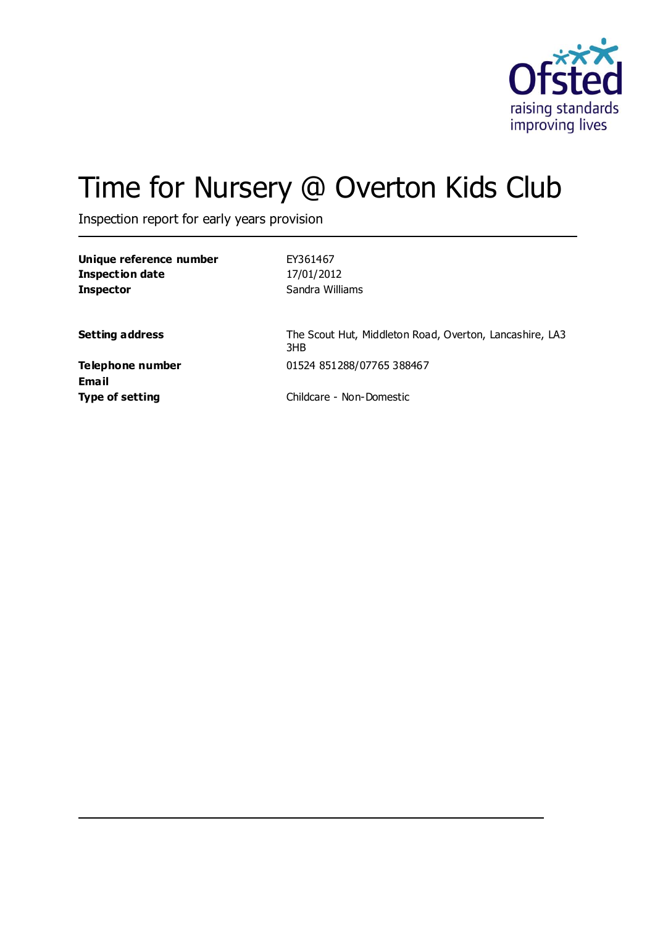

# Time for Nursery @ Overton Kids Club

Inspection report for early years provision

**Unique reference number** EY361467 **Inspection date** 17/01/2012 **Inspector** Sandra Williams

**Setting address** The Scout Hut, Middleton Road, Overton, Lancashire, LA3 3HB **Telephone number** 01524 851288/07765 388467

**Email**

**Type of setting** Childcare - Non-Domestic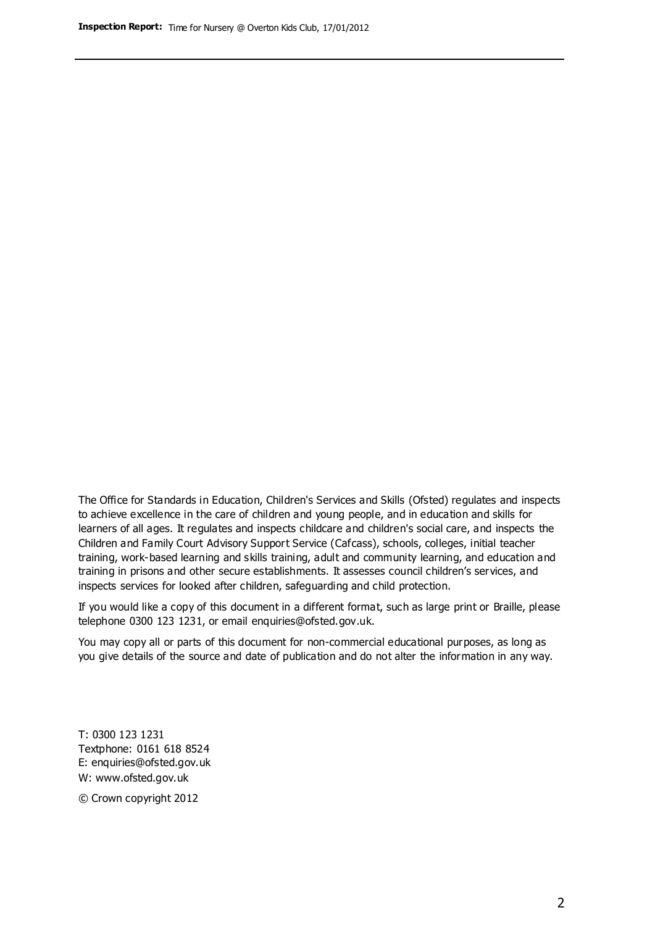The Office for Standards in Education, Children's Services and Skills (Ofsted) regulates and inspects to achieve excellence in the care of children and young people, and in education and skills for learners of all ages. It regulates and inspects childcare and children's social care, and inspects the Children and Family Court Advisory Support Service (Cafcass), schools, colleges, initial teacher training, work-based learning and skills training, adult and community learning, and education and training in prisons and other secure establishments. It assesses council children's services, and inspects services for looked after children, safeguarding and child protection.

If you would like a copy of this document in a different format, such as large print or Braille, please telephone 0300 123 1231, or email enquiries@ofsted.gov.uk.

You may copy all or parts of this document for non-commercial educational purposes, as long as you give details of the source and date of publication and do not alter the information in any way.

T: 0300 123 1231 Textphone: 0161 618 8524 E: enquiries@ofsted.gov.uk W: [www.ofsted.gov.uk](http://www.ofsted.gov.uk/)

© Crown copyright 2012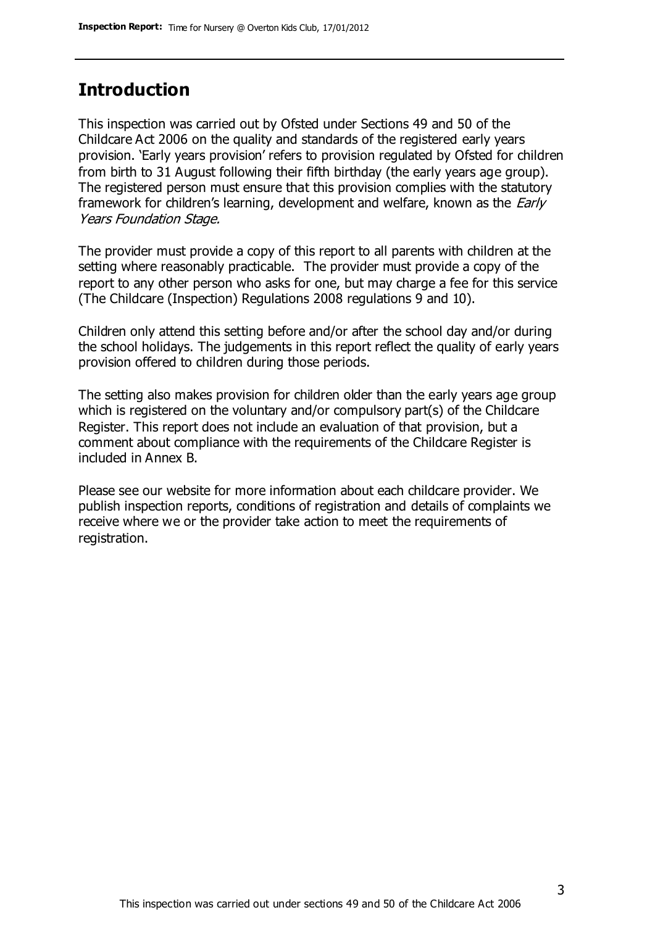## **Introduction**

This inspection was carried out by Ofsted under Sections 49 and 50 of the Childcare Act 2006 on the quality and standards of the registered early years provision. 'Early years provision' refers to provision regulated by Ofsted for children from birth to 31 August following their fifth birthday (the early years age group). The registered person must ensure that this provision complies with the statutory framework for children's learning, development and welfare, known as the *Early* Years Foundation Stage.

The provider must provide a copy of this report to all parents with children at the setting where reasonably practicable. The provider must provide a copy of the report to any other person who asks for one, but may charge a fee for this service (The Childcare (Inspection) Regulations 2008 regulations 9 and 10).

Children only attend this setting before and/or after the school day and/or during the school holidays. The judgements in this report reflect the quality of early years provision offered to children during those periods.

The setting also makes provision for children older than the early years age group which is registered on the voluntary and/or compulsory part(s) of the Childcare Register. This report does not include an evaluation of that provision, but a comment about compliance with the requirements of the Childcare Register is included in Annex B.

Please see our website for more information about each childcare provider. We publish inspection reports, conditions of registration and details of complaints we receive where we or the provider take action to meet the requirements of registration.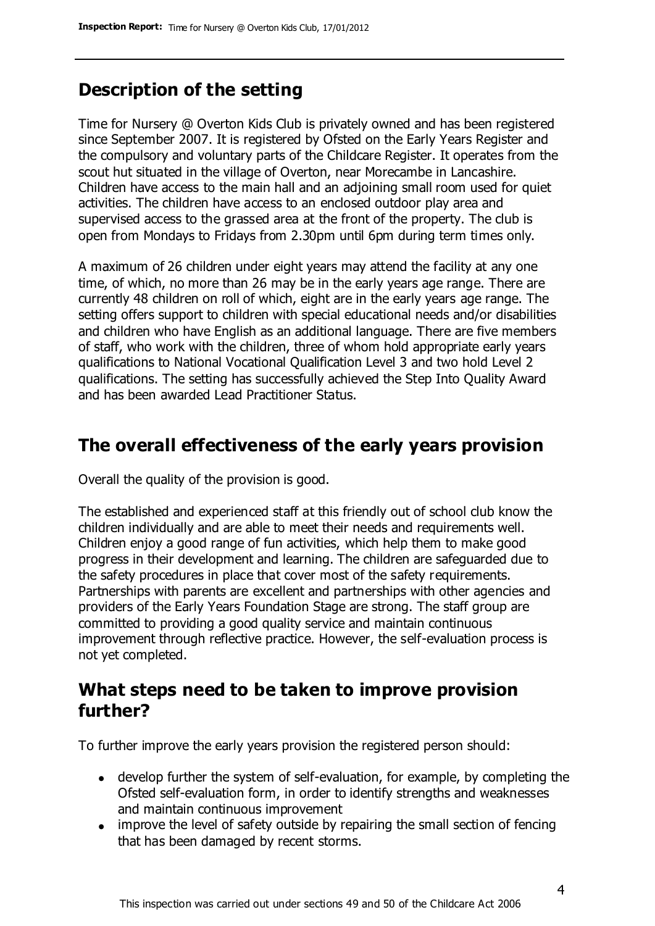# **Description of the setting**

Time for Nursery @ Overton Kids Club is privately owned and has been registered since September 2007. It is registered by Ofsted on the Early Years Register and the compulsory and voluntary parts of the Childcare Register. It operates from the scout hut situated in the village of Overton, near Morecambe in Lancashire. Children have access to the main hall and an adjoining small room used for quiet activities. The children have access to an enclosed outdoor play area and supervised access to the grassed area at the front of the property. The club is open from Mondays to Fridays from 2.30pm until 6pm during term times only.

A maximum of 26 children under eight years may attend the facility at any one time, of which, no more than 26 may be in the early years age range. There are currently 48 children on roll of which, eight are in the early years age range. The setting offers support to children with special educational needs and/or disabilities and children who have English as an additional language. There are five members of staff, who work with the children, three of whom hold appropriate early years qualifications to National Vocational Qualification Level 3 and two hold Level 2 qualifications. The setting has successfully achieved the Step Into Quality Award and has been awarded Lead Practitioner Status.

# **The overall effectiveness of the early years provision**

Overall the quality of the provision is good.

The established and experienced staff at this friendly out of school club know the children individually and are able to meet their needs and requirements well. Children enjoy a good range of fun activities, which help them to make good progress in their development and learning. The children are safeguarded due to the safety procedures in place that cover most of the safety requirements. Partnerships with parents are excellent and partnerships with other agencies and providers of the Early Years Foundation Stage are strong. The staff group are committed to providing a good quality service and maintain continuous improvement through reflective practice. However, the self-evaluation process is not yet completed.

## **What steps need to be taken to improve provision further?**

To further improve the early years provision the registered person should:

- develop further the system of self-evaluation, for example, by completing the Ofsted self-evaluation form, in order to identify strengths and weaknesses and maintain continuous improvement
- improve the level of safety outside by repairing the small section of fencing that has been damaged by recent storms.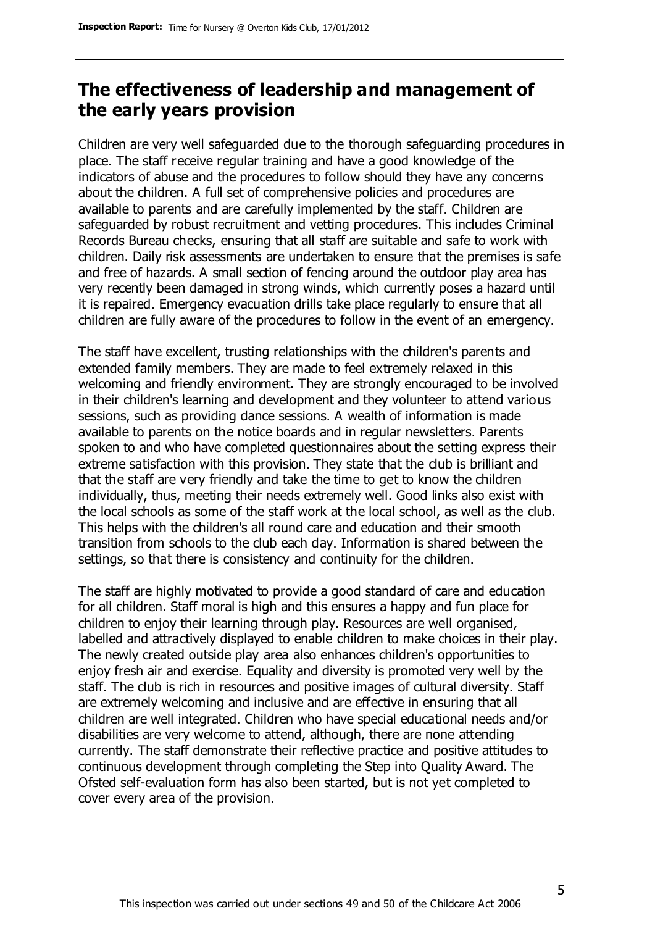## **The effectiveness of leadership and management of the early years provision**

Children are very well safeguarded due to the thorough safeguarding procedures in place. The staff receive regular training and have a good knowledge of the indicators of abuse and the procedures to follow should they have any concerns about the children. A full set of comprehensive policies and procedures are available to parents and are carefully implemented by the staff. Children are safeguarded by robust recruitment and vetting procedures. This includes Criminal Records Bureau checks, ensuring that all staff are suitable and safe to work with children. Daily risk assessments are undertaken to ensure that the premises is safe and free of hazards. A small section of fencing around the outdoor play area has very recently been damaged in strong winds, which currently poses a hazard until it is repaired. Emergency evacuation drills take place regularly to ensure that all children are fully aware of the procedures to follow in the event of an emergency.

The staff have excellent, trusting relationships with the children's parents and extended family members. They are made to feel extremely relaxed in this welcoming and friendly environment. They are strongly encouraged to be involved in their children's learning and development and they volunteer to attend various sessions, such as providing dance sessions. A wealth of information is made available to parents on the notice boards and in regular newsletters. Parents spoken to and who have completed questionnaires about the setting express their extreme satisfaction with this provision. They state that the club is brilliant and that the staff are very friendly and take the time to get to know the children individually, thus, meeting their needs extremely well. Good links also exist with the local schools as some of the staff work at the local school, as well as the club. This helps with the children's all round care and education and their smooth transition from schools to the club each day. Information is shared between the settings, so that there is consistency and continuity for the children.

The staff are highly motivated to provide a good standard of care and education for all children. Staff moral is high and this ensures a happy and fun place for children to enjoy their learning through play. Resources are well organised, labelled and attractively displayed to enable children to make choices in their play. The newly created outside play area also enhances children's opportunities to enjoy fresh air and exercise. Equality and diversity is promoted very well by the staff. The club is rich in resources and positive images of cultural diversity. Staff are extremely welcoming and inclusive and are effective in ensuring that all children are well integrated. Children who have special educational needs and/or disabilities are very welcome to attend, although, there are none attending currently. The staff demonstrate their reflective practice and positive attitudes to continuous development through completing the Step into Quality Award. The Ofsted self-evaluation form has also been started, but is not yet completed to cover every area of the provision.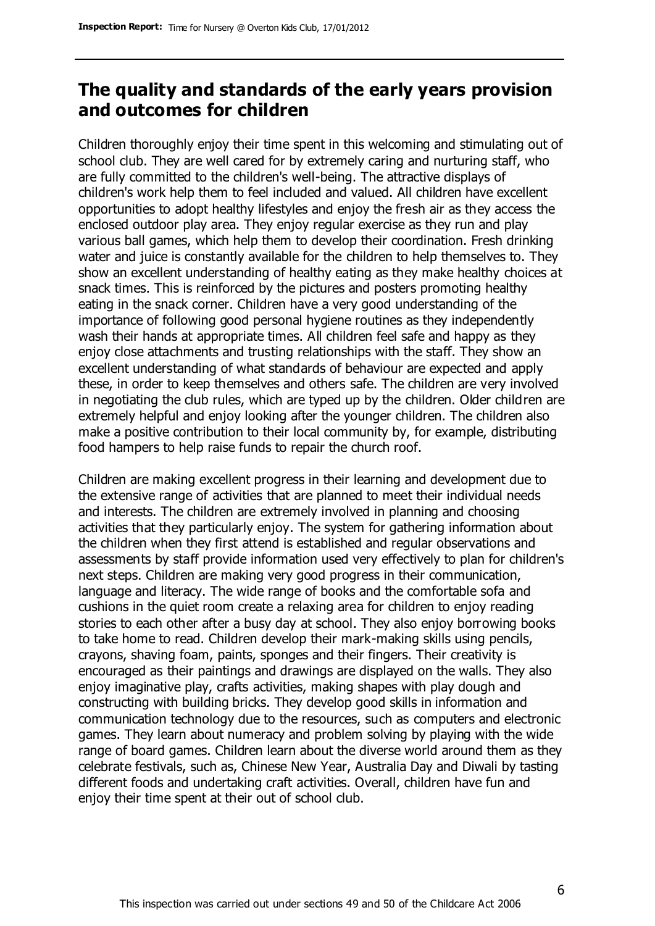## **The quality and standards of the early years provision and outcomes for children**

Children thoroughly enjoy their time spent in this welcoming and stimulating out of school club. They are well cared for by extremely caring and nurturing staff, who are fully committed to the children's well-being. The attractive displays of children's work help them to feel included and valued. All children have excellent opportunities to adopt healthy lifestyles and enjoy the fresh air as they access the enclosed outdoor play area. They enjoy regular exercise as they run and play various ball games, which help them to develop their coordination. Fresh drinking water and juice is constantly available for the children to help themselves to. They show an excellent understanding of healthy eating as they make healthy choices at snack times. This is reinforced by the pictures and posters promoting healthy eating in the snack corner. Children have a very good understanding of the importance of following good personal hygiene routines as they independently wash their hands at appropriate times. All children feel safe and happy as they enjoy close attachments and trusting relationships with the staff. They show an excellent understanding of what standards of behaviour are expected and apply these, in order to keep themselves and others safe. The children are very involved in negotiating the club rules, which are typed up by the children. Older children are extremely helpful and enjoy looking after the younger children. The children also make a positive contribution to their local community by, for example, distributing food hampers to help raise funds to repair the church roof.

Children are making excellent progress in their learning and development due to the extensive range of activities that are planned to meet their individual needs and interests. The children are extremely involved in planning and choosing activities that they particularly enjoy. The system for gathering information about the children when they first attend is established and regular observations and assessments by staff provide information used very effectively to plan for children's next steps. Children are making very good progress in their communication, language and literacy. The wide range of books and the comfortable sofa and cushions in the quiet room create a relaxing area for children to enjoy reading stories to each other after a busy day at school. They also enjoy borrowing books to take home to read. Children develop their mark-making skills using pencils, crayons, shaving foam, paints, sponges and their fingers. Their creativity is encouraged as their paintings and drawings are displayed on the walls. They also enjoy imaginative play, crafts activities, making shapes with play dough and constructing with building bricks. They develop good skills in information and communication technology due to the resources, such as computers and electronic games. They learn about numeracy and problem solving by playing with the wide range of board games. Children learn about the diverse world around them as they celebrate festivals, such as, Chinese New Year, Australia Day and Diwali by tasting different foods and undertaking craft activities. Overall, children have fun and enjoy their time spent at their out of school club.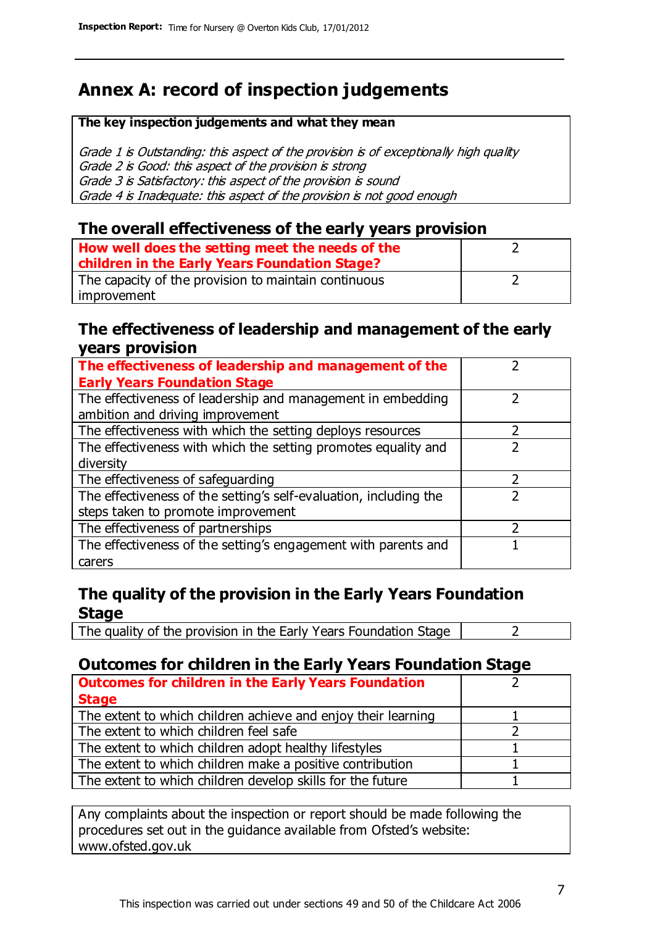# **Annex A: record of inspection judgements**

#### **The key inspection judgements and what they mean**

Grade 1 is Outstanding: this aspect of the provision is of exceptionally high quality Grade 2 is Good: this aspect of the provision is strong Grade 3 is Satisfactory: this aspect of the provision is sound Grade 4 is Inadequate: this aspect of the provision is not good enough

#### **The overall effectiveness of the early years provision**

| How well does the setting meet the needs of the<br>children in the Early Years Foundation Stage? |  |
|--------------------------------------------------------------------------------------------------|--|
| The capacity of the provision to maintain continuous                                             |  |
| improvement                                                                                      |  |

#### **The effectiveness of leadership and management of the early years provision**

| The effectiveness of leadership and management of the             |  |
|-------------------------------------------------------------------|--|
| <b>Early Years Foundation Stage</b>                               |  |
| The effectiveness of leadership and management in embedding       |  |
| ambition and driving improvement                                  |  |
| The effectiveness with which the setting deploys resources        |  |
| The effectiveness with which the setting promotes equality and    |  |
| diversity                                                         |  |
| The effectiveness of safeguarding                                 |  |
| The effectiveness of the setting's self-evaluation, including the |  |
| steps taken to promote improvement                                |  |
| The effectiveness of partnerships                                 |  |
| The effectiveness of the setting's engagement with parents and    |  |
| carers                                                            |  |

### **The quality of the provision in the Early Years Foundation Stage**

The quality of the provision in the Early Years Foundation Stage  $\vert$  2

## **Outcomes for children in the Early Years Foundation Stage**

| <b>Outcomes for children in the Early Years Foundation</b>    |  |
|---------------------------------------------------------------|--|
| <b>Stage</b>                                                  |  |
| The extent to which children achieve and enjoy their learning |  |
| The extent to which children feel safe                        |  |
| The extent to which children adopt healthy lifestyles         |  |
| The extent to which children make a positive contribution     |  |
| The extent to which children develop skills for the future    |  |

Any complaints about the inspection or report should be made following the procedures set out in the guidance available from Ofsted's website: www.ofsted.gov.uk